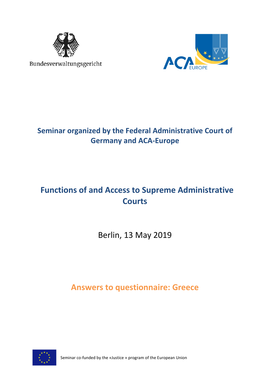

Bundesverwaltungsgericht



# **Seminar organized by the Federal Administrative Court of Germany and ACA-Europe**

# **Functions of and Access to Supreme Administrative Courts**

Berlin, 13 May 2019

**Answers to questionnaire: Greece**



Seminar co-funded by the «Justice » program of the European Union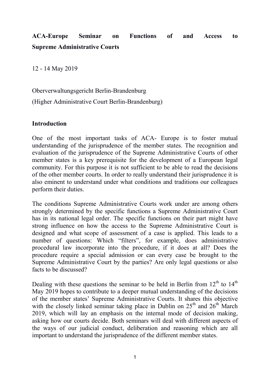# **ACA-Europe Seminar on Functions of and Access to Supreme Administrative Courts**

12 - 14 May 2019

Oberverwaltungsgericht Berlin-Brandenburg

(Higher Administrative Court Berlin-Brandenburg)

### **Introduction**

One of the most important tasks of ACA- Europe is to foster mutual understanding of the jurisprudence of the member states. The recognition and evaluation of the jurisprudence of the Supreme Administrative Courts of other member states is a key prerequisite for the development of a European legal community. For this purpose it is not sufficient to be able to read the decisions of the other member courts. In order to really understand their jurisprudence it is also eminent to understand under what conditions and traditions our colleagues perform their duties.

The conditions Supreme Administrative Courts work under are among others strongly determined by the specific functions a Supreme Administrative Court has in its national legal order. The specific functions on their part might have strong influence on how the access to the Supreme Administrative Court is designed and what scope of assessment of a case is applied. This leads to a number of questions: Which "filters", for example, does administrative procedural law incorporate into the procedure, if it does at all? Does the procedure require a special admission or can every case be brought to the Supreme Administrative Court by the parties? Are only legal questions or also facts to be discussed?

Dealing with these questions the seminar to be held in Berlin from  $12<sup>th</sup>$  to  $14<sup>th</sup>$ May 2019 hopes to contribute to a deeper mutual understanding of the decisions of the member states' Supreme Administrative Courts. It shares this objective with the closely linked seminar taking place in Dublin on  $25<sup>th</sup>$  and  $26<sup>th</sup>$  March 2019, which will lay an emphasis on the internal mode of decision making, asking how our courts decide. Both seminars will deal with different aspects of the ways of our judicial conduct, deliberation and reasoning which are all important to understand the jurisprudence of the different member states.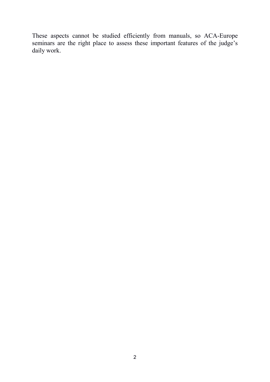These aspects cannot be studied efficiently from manuals, so ACA-Europe seminars are the right place to assess these important features of the judge's daily work.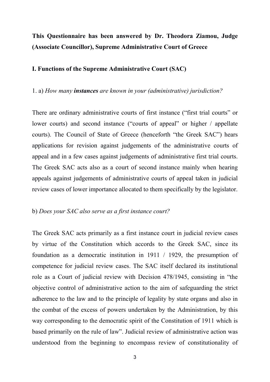## **This Questionnaire has been answered by Dr. Theodora Ziamou, Judge (Associate Councillor), Supreme Administrative Court of Greece**

### **I. Functions of the Supreme Administrative Court (SAC)**

#### 1. a) *How many instances are known in your (administrative) jurisdiction?*

There are ordinary administrative courts of first instance ("first trial courts" or lower courts) and second instance ("courts of appeal" or higher / appellate courts). The Council of State of Greece (henceforth "the Greek SAC") hears applications for revision against judgements of the administrative courts of appeal and in a few cases against judgements of administrative first trial courts. The Greek SAC acts also as a court of second instance mainly when hearing appeals against judgements of administrative courts of appeal taken in judicial review cases of lower importance allocated to them specifically by the legislator.

### b) *Does your SAC also serve as a first instance court?*

The Greek SAC acts primarily as a first instance court in judicial review cases by virtue of the Constitution which accords to the Greek SAC, since its foundation as a democratic institution in 1911 / 1929, the presumption of competence for judicial review cases. The SAC itself declared its institutional role as a Court of judicial review with Decision 478/1945, consisting in "the objective control of administrative action to the aim of safeguarding the strict adherence to the law and to the principle of legality by state organs and also in the combat of the excess of powers undertaken by the Administration, by this way corresponding to the democratic spirit of the Constitution of 1911 which is based primarily on the rule of law". Judicial review of administrative action was understood from the beginning to encompass review of constitutionality of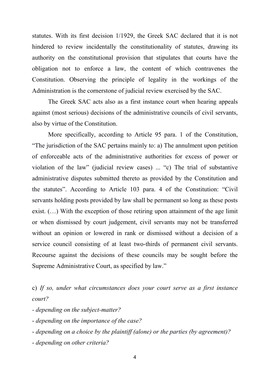statutes. With its first decision 1/1929, the Greek SAC declared that it is not hindered to review incidentally the constitutionality of statutes, drawing its authority on the constitutional provision that stipulates that courts have the obligation not to enforce a law, the content of which contravenes the Constitution. Observing the principle of legality in the workings of the Administration is the cornerstone of judicial review exercised by the SAC.

The Greek SAC acts also as a first instance court when hearing appeals against (most serious) decisions of the administrative councils of civil servants, also by virtue of the Constitution.

More specifically, according to Article 95 para. 1 of the Constitution, "The jurisdiction of the SAC pertains mainly to: a) The annulment upon petition of enforceable acts of the administrative authorities for excess of power or violation of the law" (judicial review cases) ... "c) The trial of substantive administrative disputes submitted thereto as provided by the Constitution and the statutes". According to Article 103 para. 4 of the Constitution: "Civil servants holding posts provided by law shall be permanent so long as these posts exist. (…) With the exception of those retiring upon attainment of the age limit or when dismissed by court judgement, civil servants may not be transferred without an opinion or lowered in rank or dismissed without a decision of a service council consisting of at least two-thirds of permanent civil servants. Recourse against the decisions of these councils may be sought before the Supreme Administrative Court, as specified by law."

c) *If so, under what circumstances does your court serve as a first instance court?*

- *- depending on the subject-matter?*
- *depending on the importance of the case?*
- *depending on a choice by the plaintiff (alone) or the parties (by agreement)?*
- *depending on other criteria?*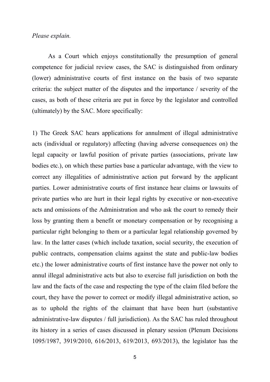### *Please explain.*

As a Court which enjoys constitutionally the presumption of general competence for judicial review cases, the SAC is distinguished from ordinary (lower) administrative courts of first instance on the basis of two separate criteria: the subject matter of the disputes and the importance / severity of the cases, as both of these criteria are put in force by the legislator and controlled (ultimately) by the SAC. More specifically:

1) The Greek SAC hears applications for annulment of illegal administrative acts (individual or regulatory) affecting (having adverse consequences on) the legal capacity or lawful position of private parties (associations, private law bodies etc.), on which these parties base a particular advantage, with the view to correct any illegalities of administrative action put forward by the applicant parties. Lower administrative courts of first instance hear claims or lawsuits of private parties who are hurt in their legal rights by executive or non-executive acts and omissions of the Administration and who ask the court to remedy their loss by granting them a benefit or monetary compensation or by recognising a particular right belonging to them or a particular legal relationship governed by law. In the latter cases (which include taxation, social security, the execution of public contracts, compensation claims against the state and public-law bodies etc.) the lower administrative courts of first instance have the power not only to annul illegal administrative acts but also to exercise full jurisdiction on both the law and the facts of the case and respecting the type of the claim filed before the court, they have the power to correct or modify illegal administrative action, so as to uphold the rights of the claimant that have been hurt (substantive administrative-law disputes / full jurisdiction). As the SAC has ruled throughout its history in a series of cases discussed in plenary session (Plenum Decisions 1095/1987, 3919/2010, 616/2013, 619/2013, 693/2013), the legislator has the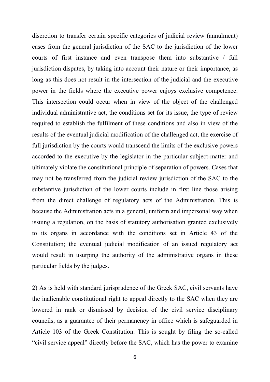discretion to transfer certain specific categories of judicial review (annulment) cases from the general jurisdiction of the SAC to the jurisdiction of the lower courts of first instance and even transpose them into substantive / full jurisdiction disputes, by taking into account their nature or their importance, as long as this does not result in the intersection of the judicial and the executive power in the fields where the executive power enjoys exclusive competence. This intersection could occur when in view of the object of the challenged individual administrative act, the conditions set for its issue, the type of review required to establish the fulfilment of these conditions and also in view of the results of the eventual judicial modification of the challenged act, the exercise of full jurisdiction by the courts would transcend the limits of the exclusive powers accorded to the executive by the legislator in the particular subject-matter and ultimately violate the constitutional principle of separation of powers. Cases that may not be transferred from the judicial review jurisdiction of the SAC to the substantive jurisdiction of the lower courts include in first line those arising from the direct challenge of regulatory acts of the Administration. This is because the Administration acts in a general, uniform and impersonal way when issuing a regulation, on the basis of statutory authorisation granted exclusively to its organs in accordance with the conditions set in Article 43 of the Constitution; the eventual judicial modification of an issued regulatory act would result in usurping the authority of the administrative organs in these particular fields by the judges.

2) As is held with standard jurisprudence of the Greek SAC, civil servants have the inalienable constitutional right to appeal directly to the SAC when they are lowered in rank or dismissed by decision of the civil service disciplinary councils, as a guarantee of their permanency in office which is safeguarded in Article 103 of the Greek Constitution. This is sought by filing the so-called "civil service appeal" directly before the SAC, which has the power to examine

6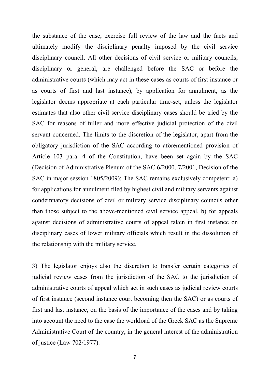the substance of the case, exercise full review of the law and the facts and ultimately modify the disciplinary penalty imposed by the civil service disciplinary council. All other decisions of civil service or military councils, disciplinary or general, are challenged before the SAC or before the administrative courts (which may act in these cases as courts of first instance or as courts of first and last instance), by application for annulment, as the legislator deems appropriate at each particular time-set, unless the legislator estimates that also other civil service disciplinary cases should be tried by the SAC for reasons of fuller and more effective judicial protection of the civil servant concerned. The limits to the discretion of the legislator, apart from the obligatory jurisdiction of the SAC according to aforementioned provision of Article 103 para. 4 of the Constitution, have been set again by the SAC (Decision of Administrative Plenum of the SAC 6/2000, 7/2001, Decision of the SAC in major session 1805/2009): The SAC remains exclusively competent: a) for applications for annulment filed by highest civil and military servants against condemnatory decisions of civil or military service disciplinary councils other than those subject to the above-mentioned civil service appeal, b) for appeals against decisions of administrative courts of appeal taken in first instance on disciplinary cases of lower military officials which result in the dissolution of the relationship with the military service.

3) The legislator enjoys also the discretion to transfer certain categories of judicial review cases from the jurisdiction of the SAC to the jurisdiction of administrative courts of appeal which act in such cases as judicial review courts of first instance (second instance court becoming then the SAC) or as courts of first and last instance, on the basis of the importance of the cases and by taking into account the need to the ease the workload of the Greek SAC as the Supreme Administrative Court of the country, in the general interest of the administration of justice (Law 702/1977).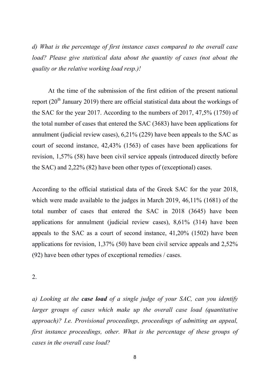*d) What is the percentage of first instance cases compared to the overall case load? Please give statistical data about the quantity of cases (not about the quality or the relative working load resp.)!*

At the time of the submission of the first edition of the present national report ( $20<sup>th</sup>$  January 2019) there are official statistical data about the workings of the SAC for the year 2017. According to the numbers of 2017, 47,5% (1750) of the total number of cases that entered the SAC (3683) have been applications for annulment (judicial review cases), 6,21% (229) have been appeals to the SAC as court of second instance, 42,43% (1563) of cases have been applications for revision, 1,57% (58) have been civil service appeals (introduced directly before the SAC) and 2,22% (82) have been other types of (exceptional) cases.

According to the official statistical data of the Greek SAC for the year 2018, which were made available to the judges in March 2019, 46,11% (1681) of the total number of cases that entered the SAC in 2018 (3645) have been applications for annulment (judicial review cases), 8,61% (314) have been appeals to the SAC as a court of second instance, 41,20% (1502) have been applications for revision, 1,37% (50) have been civil service appeals and 2,52% (92) have been other types of exceptional remedies / cases.

2.

*a) Looking at the case load of a single judge of your SAC, can you identify larger groups of cases which make up the overall case load (quantitative approach)? I.e. Provisional proceedings, proceedings of admitting an appeal, first instance proceedings, other. What is the percentage of these groups of cases in the overall case load?*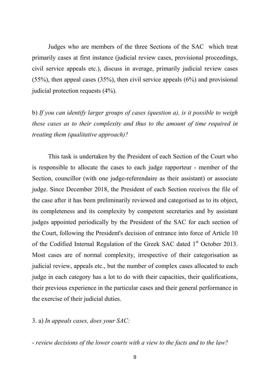Judges who are members of the three Sections of the SAC which treat primarily cases at first instance (judicial review cases, provisional proceedings, civil service appeals etc.), discuss in average, primarily judicial review cases (55%), then appeal cases (35%), then civil service appeals (6%) and provisional judicial protection requests (4%).

b) *If you can identify larger groups of cases (question a), is it possible to weigh these cases as to their complexity and thus to the amount of time required in treating them (qualitative approach)?*

This task is undertaken by the President of each Section of the Court who is responsible to allocate the cases to each judge rapporteur - member of the Section, councillor (with one judge-referendaire as their assistant) or associate judge. Since December 2018, the President of each Section receives the file of the case after it has been preliminarily reviewed and categorised as to its object, its completeness and its complexity by competent secretaries and by assistant judges appointed periodically by the President of the SAC for each section of the Court, following the President's decision of entrance into force of Article 10 of the Codified Internal Regulation of the Greek SAC dated 1<sup>st</sup> October 2013. Most cases are of normal complexity, irrespective of their categorisation as judicial review, appeals etc., but the number of complex cases allocated to each judge in each category has a lot to do with their capacities, their qualifications, their previous experience in the particular cases and their general performance in the exercise of their judicial duties.

3. a) *In appeals cases, does your SAC:*

- *review decisions of the lower courts with a view to the facts and to the law?*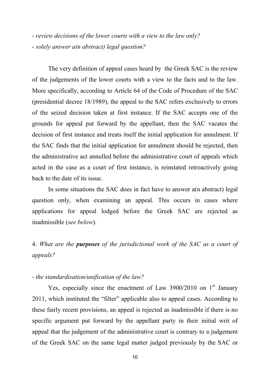- *review decisions of the lower courts with a view to the law only?* - *solely answer a(n abstract) legal question?*

The very definition of appeal cases heard by the Greek SAC is the review of the judgements of the lower courts with a view to the facts and to the law. More specifically, according to Article 64 of the Code of Procedure of the SAC (presidential decree 18/1989), the appeal to the SAC refers exclusively to errors of the seized decision taken at first instance. If the SAC accepts one of the grounds for appeal put forward by the appellant, then the SAC vacates the decision of first instance and treats itself the initial application for annulment. If the SAC finds that the initial application for annulment should be rejected, then the administrative act annulled before the administrative court of appeals which acted in the case as a court of first instance, is reinstated retroactively going back to the date of its issue.

In some situations the SAC does in fact have to answer a(n abstract) legal question only, when examining an appeal. This occurs in cases where applications for appeal lodged before the Greek SAC are rejected as inadmissible (*see below*).

4. *What are the purposes of the jurisdictional work of the SAC as a court of appeals?*

### - *the standardisation/unification of the law?*

Yes, especially since the enactment of Law  $3900/2010$  on 1<sup>st</sup> January 2011, which instituted the "filter" applicable also to appeal cases. According to these fairly recent provisions, an appeal is rejected as inadmissible if there is no specific argument put forward by the appellant party in their initial writ of appeal that the judgement of the administrative court is contrary to a judgement of the Greek SAC on the same legal matter judged previously by the SAC or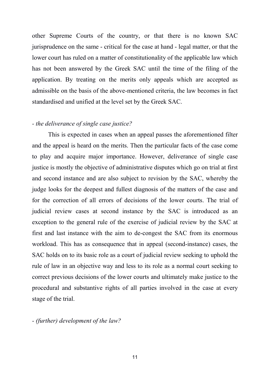other Supreme Courts of the country, or that there is no known SAC jurisprudence on the same - critical for the case at hand - legal matter, or that the lower court has ruled on a matter of constitutionality of the applicable law which has not been answered by the Greek SAC until the time of the filing of the application. By treating on the merits only appeals which are accepted as admissible on the basis of the above-mentioned criteria, the law becomes in fact standardised and unified at the level set by the Greek SAC.

### *- the deliverance of single case justice?*

This is expected in cases when an appeal passes the aforementioned filter and the appeal is heard on the merits. Then the particular facts of the case come to play and acquire major importance. However, deliverance of single case justice is mostly the objective of administrative disputes which go on trial at first and second instance and are also subject to revision by the SAC, whereby the judge looks for the deepest and fullest diagnosis of the matters of the case and for the correction of all errors of decisions of the lower courts. The trial of judicial review cases at second instance by the SAC is introduced as an exception to the general rule of the exercise of judicial review by the SAC at first and last instance with the aim to de-congest the SAC from its enormous workload. This has as consequence that in appeal (second-instance) cases, the SAC holds on to its basic role as a court of judicial review seeking to uphold the rule of law in an objective way and less to its role as a normal court seeking to correct previous decisions of the lower courts and ultimately make justice to the procedural and substantive rights of all parties involved in the case at every stage of the trial.

*- (further) development of the law?*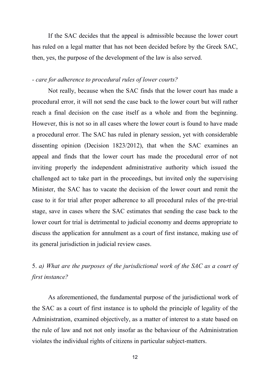If the SAC decides that the appeal is admissible because the lower court has ruled on a legal matter that has not been decided before by the Greek SAC, then, yes, the purpose of the development of the law is also served.

### *- care for adherence to procedural rules of lower courts?*

Not really, because when the SAC finds that the lower court has made a procedural error, it will not send the case back to the lower court but will rather reach a final decision on the case itself as a whole and from the beginning. However, this is not so in all cases where the lower court is found to have made a procedural error. The SAC has ruled in plenary session, yet with considerable dissenting opinion (Decision 1823/2012), that when the SAC examines an appeal and finds that the lower court has made the procedural error of not inviting properly the independent administrative authority which issued the challenged act to take part in the proceedings, but invited only the supervising Minister, the SAC has to vacate the decision of the lower court and remit the case to it for trial after proper adherence to all procedural rules of the pre-trial stage, save in cases where the SAC estimates that sending the case back to the lower court for trial is detrimental to judicial economy and deems appropriate to discuss the application for annulment as a court of first instance, making use of its general jurisdiction in judicial review cases.

# 5. *a) What are the purposes of the jurisdictional work of the SAC as a court of first instance?*

As aforementioned, the fundamental purpose of the jurisdictional work of the SAC as a court of first instance is to uphold the principle of legality of the Administration, examined objectively, as a matter of interest to a state based on the rule of law and not not only insofar as the behaviour of the Administration violates the individual rights of citizens in particular subject-matters.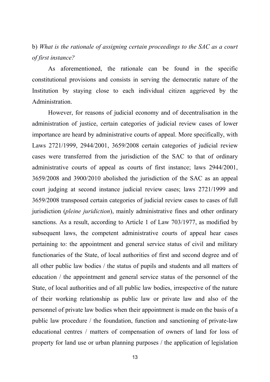### b) *What is the rationale of assigning certain proceedings to the SAC as a court of first instance?*

As aforementioned, the rationale can be found in the specific constitutional provisions and consists in serving the democratic nature of the Institution by staying close to each individual citizen aggrieved by the Administration.

However, for reasons of judicial economy and of decentralisation in the administration of justice, certain categories of judicial review cases of lower importance are heard by administrative courts of appeal. More specifically, with Laws 2721/1999, 2944/2001, 3659/2008 certain categories of judicial review cases were transferred from the jurisdiction of the SAC to that of ordinary administrative courts of appeal as courts of first instance; laws 2944/2001, 3659/2008 and 3900/2010 abolished the jurisdiction of the SAC as an appeal court judging at second instance judicial review cases; laws 2721/1999 and 3659/2008 transposed certain categories of judicial review cases to cases of full jurisdiction (*pleine juridiction*), mainly administrative fines and other ordinary sanctions. As a result, according to Article 1 of Law 703/1977, as modified by subsequent laws, the competent administrative courts of appeal hear cases pertaining to: the appointment and general service status of civil and military functionaries of the State, of local authorities of first and second degree and of all other public law bodies / the status of pupils and students and all matters of education / the appointment and general service status of the personnel of the State, of local authorities and of all public law bodies, irrespective of the nature of their working relationship as public law or private law and also of the personnel of private law bodies when their appointment is made on the basis of a public law procedure / the foundation, function and sanctioning of private-law educational centres / matters of compensation of owners of land for loss of property for land use or urban planning purposes / the application of legislation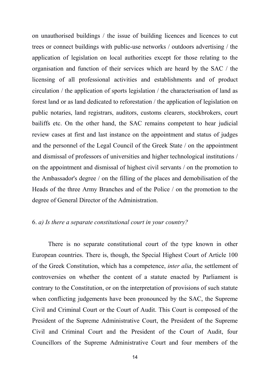on unauthorised buildings / the issue of building licences and licences to cut trees or connect buildings with public-use networks / outdoors advertising / the application of legislation on local authorities except for those relating to the organisation and function of their services which are heard by the SAC / the licensing of all professional activities and establishments and of product circulation / the application of sports legislation / the characterisation of land as forest land or as land dedicated to reforestation / the application of legislation on public notaries, land registrars, auditors, customs clearers, stockbrokers, court bailiffs etc. On the other hand, the SAC remains competent to hear judicial review cases at first and last instance on the appointment and status of judges and the personnel of the Legal Council of the Greek State / on the appointment and dismissal of professors of universities and higher technological institutions / on the appointment and dismissal of highest civil servants / on the promotion to the Ambassador's degree / on the filling of the places and demobilisation of the Heads of the three Army Branches and of the Police / on the promotion to the degree of General Director of the Administration.

### 6. *a) Is there a separate constitutional court in your country?*

There is no separate constitutional court of the type known in other European countries. There is, though, the Special Highest Court of Article 100 of the Greek Constitution, which has a competence, *inter alia*, the settlement of controversies on whether the content of a statute enacted by Parliament is contrary to the Constitution, or on the interpretation of provisions of such statute when conflicting judgements have been pronounced by the SAC, the Supreme Civil and Criminal Court or the Court of Audit. This Court is composed of the President of the Supreme Administrative Court, the President of the Supreme Civil and Criminal Court and the President of the Court of Audit, four Councillors of the Supreme Administrative Court and four members of the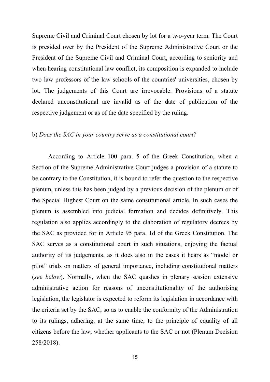Supreme Civil and Criminal Court chosen by lot for a two-year term. The Court is presided over by the President of the Supreme Administrative Court or the President of the Supreme Civil and Criminal Court, according to seniority and when hearing constitutional law conflict, its composition is expanded to include two law professors of the law schools of the countries' universities, chosen by lot. The judgements of this Court are irrevocable. Provisions of a statute declared unconstitutional are invalid as of the date of publication of the respective judgement or as of the date specified by the ruling.

#### b) *Does the SAC in your country serve as a constitutional court?*

According to Article 100 para. 5 of the Greek Constitution, when a Section of the Supreme Administrative Court judges a provision of a statute to be contrary to the Constitution, it is bound to refer the question to the respective plenum, unless this has been judged by a previous decision of the plenum or of the Special Highest Court on the same constitutional article. In such cases the plenum is assembled into judicial formation and decides definitively. This regulation also applies accordingly to the elaboration of regulatory decrees by the SAC as provided for in Article 95 para. 1d of the Greek Constitution. The SAC serves as a constitutional court in such situations, enjoying the factual authority of its judgements, as it does also in the cases it hears as "model or pilot" trials on matters of general importance, including constitutional matters (*see below*). Normally, when the SAC quashes in plenary session extensive administrative action for reasons of unconstitutionality of the authorising legislation, the legislator is expected to reform its legislation in accordance with the criteria set by the SAC, so as to enable the conformity of the Administration to its rulings, adhering, at the same time, to the principle of equality of all citizens before the law, whether applicants to the SAC or not (Plenum Decision 258/2018).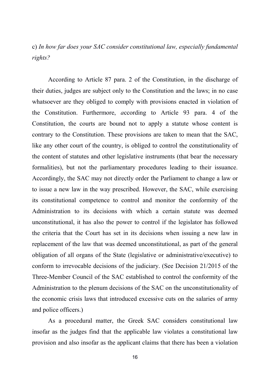# c) *In how far does your SAC consider constitutional law, especially fundamental rights?*

According to Article 87 para. 2 of the Constitution, in the discharge of their duties, judges are subject only to the Constitution and the laws; in no case whatsoever are they obliged to comply with provisions enacted in violation of the Constitution. Furthermore, *a*ccording to Article 93 para. 4 of the Constitution, the courts are bound not to apply a statute whose content is contrary to the Constitution. These provisions are taken to mean that the SAC, like any other court of the country, is obliged to control the constitutionality of the content of statutes and other legislative instruments (that bear the necessary formalities), but not the parliamentary procedures leading to their issuance. Accordingly, the SAC may not directly order the Parliament to change a law or to issue a new law in the way prescribed. However, the SAC, while exercising its constitutional competence to control and monitor the conformity of the Administration to its decisions with which a certain statute was deemed unconstitutional, it has also the power to control if the legislator has followed the criteria that the Court has set in its decisions when issuing a new law in replacement of the law that was deemed unconstitutional, as part of the general obligation of all organs of the State (legislative or administrative/executive) to conform to irrevocable decisions of the judiciary. (See Decision 21/2015 of the Three-Member Council of the SAC established to control the conformity of the Administration to the plenum decisions of the SAC on the unconstitutionality of the economic crisis laws that introduced excessive cuts on the salaries of army and police officers.)

As a procedural matter, the Greek SAC considers constitutional law insofar as the judges find that the applicable law violates a constitutional law provision and also insofar as the applicant claims that there has been a violation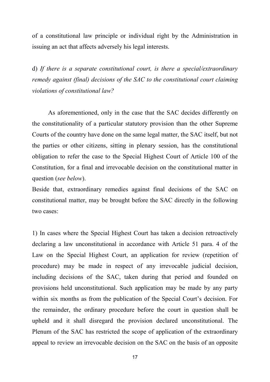of a constitutional law principle or individual right by the Administration in issuing an act that affects adversely his legal interests.

d) *If there is a separate constitutional court, is there a special/extraordinary remedy against (final) decisions of the SAC to the constitutional court claiming violations of constitutional law?*

As aforementioned, only in the case that the SAC decides differently on the constitutionality of a particular statutory provision than the other Supreme Courts of the country have done on the same legal matter, the SAC itself, but not the parties or other citizens, sitting in plenary session, has the constitutional obligation to refer the case to the Special Highest Court of Article 100 of the Constitution, for a final and irrevocable decision on the constitutional matter in question (*see below*).

Beside that, extraordinary remedies against final decisions of the SAC on constitutional matter, may be brought before the SAC directly in the following two cases:

1) In cases where the Special Highest Court has taken a decision retroactively declaring a law unconstitutional in accordance with Article 51 para. 4 of the Law on the Special Highest Court, an application for review (repetition of procedure) may be made in respect of any irrevocable judicial decision, including decisions of the SAC, taken during that period and founded on provisions held unconstitutional. Such application may be made by any party within six months as from the publication of the Special Court's decision. For the remainder, the ordinary procedure before the court in question shall be upheld and it shall disregard the provision declared unconstitutional. The Plenum of the SAC has restricted the scope of application of the extraordinary appeal to review an irrevocable decision on the SAC on the basis of an opposite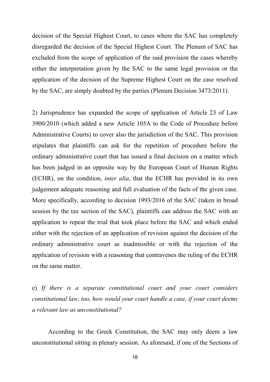decision of the Special Highest Court, to cases where the SAC has completely disregarded the decision of the Special Highest Court. The Plenum of SAC has excluded from the scope of application of the said provision the cases whereby either the interpretation given by the SAC to the same legal provision or the application of the decision of the Supreme Highest Court on the case resolved by the SAC, are simply doubted by the parties (Plenum Decision 3473/2011).

2) Jurisprudence has expanded the scope of application of Article 23 of Law 3900/2010 (which added a new Article 105A to the Code of Procedure before Administrative Courts) to cover also the jurisdiction of the SAC. This provision stipulates that plaintiffs can ask for the repetition of procedure before the ordinary administrative court that has issued a final decision on a matter which has been judged in an opposite way by the European Court of Human Rights (ECHR), on the condition, *inter alia*, that the ECHR has provided in its own judgement adequate reasoning and full evaluation of the facts of the given case. More specifically, according to decision 1993/2016 of the SAC (taken in broad session by the tax section of the SAC), plaintiffs can address the SAC with an application to repeat the trial that took place before the SAC and which ended either with the rejection of an application of revision against the decision of the ordinary administrative court as inadmissible or with the rejection of the application of revision with a reasoning that contravenes the ruling of the ECHR on the same matter.

e) *If there is a separate constitutional court and your court considers constitutional law, too, how would your court handle a case, if your court deems a relevant law as unconstitutional?*

According to the Greek Constitution, the SAC may only deem a law unconstitutional sitting in plenary session. As aforesaid, if one of the Sections of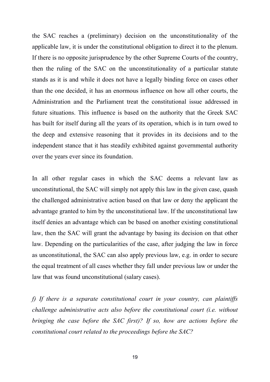the SAC reaches a (preliminary) decision on the unconstitutionality of the applicable law, it is under the constitutional obligation to direct it to the plenum. If there is no opposite jurisprudence by the other Supreme Courts of the country, then the ruling of the SAC on the unconstitutionality of a particular statute stands as it is and while it does not have a legally binding force on cases other than the one decided, it has an enormous influence on how all other courts, the Administration and the Parliament treat the constitutional issue addressed in future situations. This influence is based on the authority that the Greek SAC has built for itself during all the years of its operation, which is in turn owed to the deep and extensive reasoning that it provides in its decisions and to the independent stance that it has steadily exhibited against governmental authority over the years ever since its foundation.

In all other regular cases in which the SAC deems a relevant law as unconstitutional, the SAC will simply not apply this law in the given case, quash the challenged administrative action based on that law or deny the applicant the advantage granted to him by the unconstitutional law. If the unconstitutional law itself denies an advantage which can be based on another existing constitutional law, then the SAC will grant the advantage by basing its decision on that other law. Depending on the particularities of the case, after judging the law in force as unconstitutional, the SAC can also apply previous law, e.g. in order to secure the equal treatment of all cases whether they fall under previous law or under the law that was found unconstitutional (salary cases).

*f) If there is a separate constitutional court in your country, can plaintiffs challenge administrative acts also before the constitutional court (i.e. without bringing the case before the SAC first)? If so, how are actions before the constitutional court related to the proceedings before the SAC?*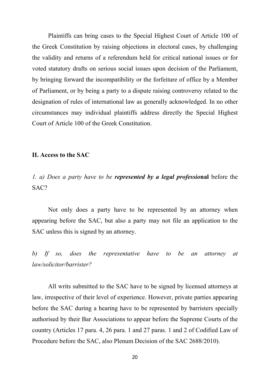Plaintiffs can bring cases to the Special Highest Court of Article 100 of the Greek Constitution by raising objections in electoral cases, by challenging the validity and returns of a referendum held for critical national issues or for voted statutory drafts on serious social issues upon decision of the Parliament, by bringing forward the incompatibility or the forfeiture of office by a Member of Parliament, or by being a party to a dispute raising controversy related to the designation of rules of international law as generally acknowledged. In no other circumstances may individual plaintiffs address directly the Special Highest Court of Article 100 of the Greek Constitution.

### **II. Access to the SAC**

*1. a) Does a party have to be represented by a legal professio***nal** before the SAC?

Not only does a party have to be represented by an attorney when appearing before the SAC, but also a party may not file an application to the SAC unless this is signed by an attorney.

*b) If so, does the representative have to be an attorney at law/solicitor/barrister?*

All writs submitted to the SAC have to be signed by licensed attorneys at law, irrespective of their level of experience. However, private parties appearing before the SAC during a hearing have to be represented by barristers specially authorised by their Bar Associations to appear before the Supreme Courts of the country (Articles 17 para. 4, 26 para. 1 and 27 paras. 1 and 2 of Codified Law of Procedure before the SAC, also Plenum Decision of the SAC 2688/2010).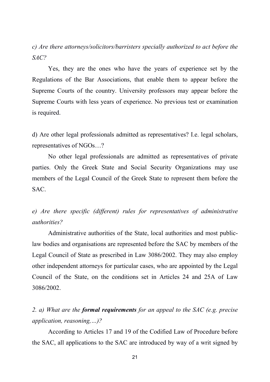*c) Are there attorneys/solicitors/barristers specially authorized to act before the SAC?*

Yes, they are the ones who have the years of experience set by the Regulations of the Bar Associations, that enable them to appear before the Supreme Courts of the country. University professors may appear before the Supreme Courts with less years of experience. No previous test or examination is required.

d) Are other legal professionals admitted as representatives? I.e. legal scholars, representatives of NGOs…?

No other legal professionals are admitted as representatives of private parties. Only the Greek State and Social Security Organizations may use members of the Legal Council of the Greek State to represent them before the SAC.

*e) Are there specific (different) rules for representatives of administrative authorities?*

Administrative authorities of the State, local authorities and most publiclaw bodies and organisations are represented before the SAC by members of the Legal Council of State as prescribed in Law 3086/2002. They may also employ other independent attorneys for particular cases, who are appointed by the Legal Council of the State, on the conditions set in Articles 24 and 25A of Law 3086/2002.

*2. a) What are the formal requirements for an appeal to the SAC (e.g. precise application, reasoning,…)?*

According to Articles 17 and 19 of the Codified Law of Procedure before the SAC, all applications to the SAC are introduced by way of a writ signed by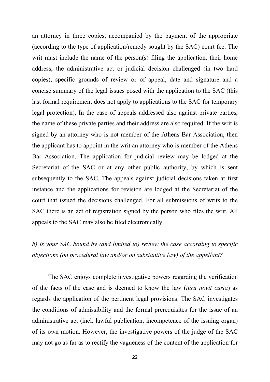an attorney in three copies, accompanied by the payment of the appropriate (according to the type of application/remedy sought by the SAC) court fee. The writ must include the name of the person(s) filing the application, their home address, the administrative act or judicial decision challenged (in two hard copies), specific grounds of review or of appeal, date and signature and a concise summary of the legal issues posed with the application to the SAC (this last formal requirement does not apply to applications to the SAC for temporary legal protection). In the case of appeals addressed also against private parties, the name of these private parties and their address are also required. If the writ is signed by an attorney who is not member of the Athens Bar Association, then the applicant has to appoint in the writ an attorney who is member of the Athens Bar Association. The application for judicial review may be lodged at the Secretariat of the SAC or at any other public authority, by which is sent subsequently to the SAC. The appeals against judicial decisions taken at first instance and the applications for revision are lodged at the Secretariat of the court that issued the decisions challenged. For all submissions of writs to the SAC there is an act of registration signed by the person who files the writ. All appeals to the SAC may also be filed electronically.

# *b) Is your SAC bound by (and limited to) review the case according to specific objections (on procedural law and/or on substantive law) of the appellant?*

The SAC enjoys complete investigative powers regarding the verification of the facts of the case and is deemed to know the law (*jura novit curia*) as regards the application of the pertinent legal provisions. The SAC investigates the conditions of admissibility and the formal prerequisites for the issue of an administrative act (incl. lawful publication, incompetence of the issuing organ) of its own motion. However, the investigative powers of the judge of the SAC may not go as far as to rectify the vagueness of the content of the application for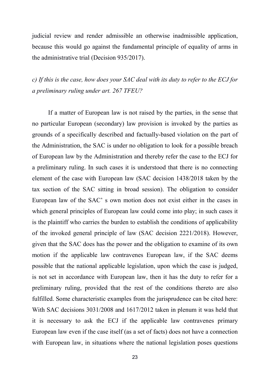judicial review and render admissible an otherwise inadmissible application, because this would go against the fundamental principle of equality of arms in the administrative trial (Decision 935/2017).

*c) If this is the case, how does your SAC deal with its duty to refer to the ECJ for a preliminary ruling under art. 267 TFEU?*

If a matter of European law is not raised by the parties, in the sense that no particular European (secondary) law provision is invoked by the parties as grounds of a specifically described and factually-based violation on the part of the Administration, the SAC is under no obligation to look for a possible breach of European law by the Administration and thereby refer the case to the ECJ for a preliminary ruling. In such cases it is understood that there is no connecting element of the case with European law (SAC decision 1438/2018 taken by the tax section of the SAC sitting in broad session). The obligation to consider European law of the SAC' s own motion does not exist either in the cases in which general principles of European law could come into play; in such cases it is the plaintiff who carries the burden to establish the conditions of applicability of the invoked general principle of law (SAC decision 2221/2018). However, given that the SAC does has the power and the obligation to examine of its own motion if the applicable law contravenes European law, if the SAC deems possible that the national applicable legislation, upon which the case is judged, is not set in accordance with European law, then it has the duty to refer for a preliminary ruling, provided that the rest of the conditions thereto are also fulfilled. Some characteristic examples from the jurisprudence can be cited here: With SAC decisions 3031/2008 and 1617/2012 taken in plenum it was held that it is necessary to ask the ECJ if the applicable law contravenes primary European law even if the case itself (as a set of facts) does not have a connection with European law, in situations where the national legislation poses questions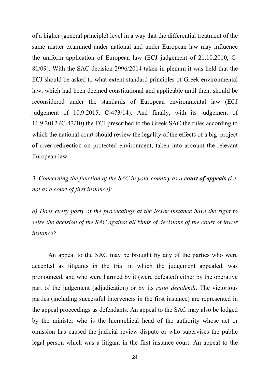of a higher (general principle) level in a way that the differential treatment of the same matter examined under national and under European law may influence the uniform application of European law (ECJ judgement of 21.10.2010, C-81/09). With the SAC decision 2996/2014 taken in plenum it was held that the ECJ should be asked to what extent standard principles of Greek environmental law, which had been deemed constitutional and applicable until then, should be reconsidered under the standards of European environmental law (ECJ judgement of 10.9.2015, C-473/14). And finally, with its judgement of 11.9.2012 (C-43/10) the ECJ prescribed to the Greek SAC the rules according to which the national court should review the legality of the effects of a big project of river-redirection on protected environment, taken into account the relevant European law.

*3. Concerning the function of the SAC in your country as a court of appeals (i.e. not as a court of first instance):*

*a) Does every party of the proceedings at the lower instance have the right to seize the decision of the SAC against all kinds of decisions of the court of lower instance?*

An appeal to the SAC may be brought by any of the parties who were accepted as litigants in the trial in which the judgement appealed, was pronounced, and who were harmed by it (were defeated) either by the operative part of the judgement (adjudication) or by its *ratio decidendi*. The victorious parties (including successful interveners in the first instance) are represented in the appeal proceedings as defendants. An appeal to the SAC may also be lodged by the minister who is the hierarchical head of the authority whose act or omission has caused the judicial review dispute or who supervises the public legal person which was a litigant in the first instance court. An appeal to the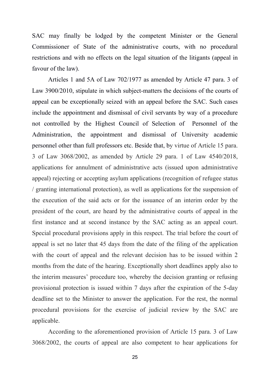SAC may finally be lodged by the competent Minister or the General Commissioner of State of the administrative courts, with no procedural restrictions and with no effects on the legal situation of the litigants (appeal in favour of the law).

Articles 1 and 5A of Law 702/1977 as amended by Article 47 para. 3 of Law 3900/2010, stipulate in which subject-matters the decisions of the courts of appeal can be exceptionally seized with an appeal before the SAC. Such cases include the appointment and dismissal of civil servants by way of a procedure not controlled by the Highest Council of Selection of Personnel of the Administration, the appointment and dismissal of University academic personnel other than full professors etc. Beside that, by virtue of Article 15 para. 3 of Law 3068/2002, as amended by Article 29 para. 1 of Law 4540/2018, applications for annulment of administrative acts (issued upon administrative appeal) rejecting or accepting asylum applications (recognition of refugee status / granting international protection), as well as applications for the suspension of the execution of the said acts or for the issuance of an interim order by the president of the court, are heard by the administrative courts of appeal in the first instance and at second instance by the SAC acting as an appeal court. Special procedural provisions apply in this respect. The trial before the court of appeal is set no later that 45 days from the date of the filing of the application with the court of appeal and the relevant decision has to be issued within 2 months from the date of the hearing. Exceptionally short deadlines apply also to the interim measures' procedure too, whereby the decision granting or refusing provisional protection is issued within 7 days after the expiration of the 5-day deadline set to the Minister to answer the application. For the rest, the normal procedural provisions for the exercise of judicial review by the SAC are applicable.

According to the aforementioned provision of Article 15 para. 3 of Law 3068/2002, the courts of appeal are also competent to hear applications for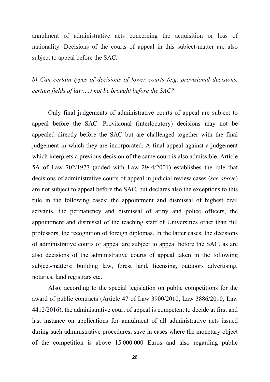annulment of administrative acts concerning the acquisition or loss of nationality. Decisions of the courts of appeal in this subject-matter are also subject to appeal before the SAC.

*b) Can certain types of decisions of lower courts (e.g. provisional decisions, certain fields of law,…) not be brought before the SAC?*

Only final judgements of administrative courts of appeal are subject to appeal before the SAC. Provisional (interlocutory) decisions may not be appealed directly before the SAC but are challenged together with the final judgement in which they are incorporated. A final appeal against a judgement which interprets a previous decision of the same court is also admissible. Article 5A of Law 702/1977 (added with Law 2944/2001) establishes the rule that decisions of administrative courts of appeal in judicial review cases (*see above*) are not subject to appeal before the SAC, but declares also the exceptions to this rule in the following cases: the appointment and dismissal of highest civil servants, the permanency and dismissal of army and police officers, the appointment and dismissal of the teaching staff of Universities other than full professors, the recognition of foreign diplomas. In the latter cases, the decisions of administrative courts of appeal are subject to appeal before the SAC, as are also decisions of the administrative courts of appeal taken in the following subject-matters: building law, forest land, licensing, outdoors advertising, notaries, land registrars etc.

Also, according to the special legislation on public competitions for the award of public contracts (Article 47 of Law 3900/2010, Law 3886/2010, Law 4412/2016), the administrative court of appeal is competent to decide at first and last instance on applications for annulment of all administrative acts issued during such administrative procedures, save in cases where the monetary object of the competition is above 15.000.000 Euros and also regarding public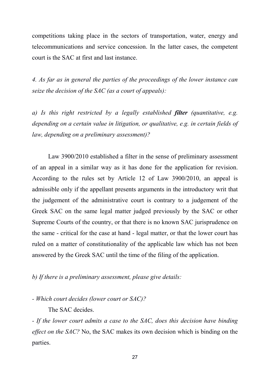competitions taking place in the sectors of transportation, water, energy and telecommunications and service concession. In the latter cases, the competent court is the SAC at first and last instance.

*4. As far as in general the parties of the proceedings of the lower instance can seize the decision of the SAC (as a court of appeals):*

*a) Is this right restricted by a legally established filter (quantitative, e.g. depending on a certain value in litigation, or qualitative, e.g. in certain fields of law, depending on a preliminary assessment)?*

Law 3900/2010 established a filter in the sense of preliminary assessment of an appeal in a similar way as it has done for the application for revision. According to the rules set by Article 12 of Law 3900/2010, an appeal is admissible only if the appellant presents arguments in the introductory writ that the judgement of the administrative court is contrary to a judgement of the Greek SAC on the same legal matter judged previously by the SAC or other Supreme Courts of the country, or that there is no known SAC jurisprudence on the same - critical for the case at hand - legal matter, or that the lower court has ruled on a matter of constitutionality of the applicable law which has not been answered by the Greek SAC until the time of the filing of the application.

*b) If there is a preliminary assessment, please give details:*

*- Which court decides (lower court or SAC)?*

The SAC decides.

*- If the lower court admits a case to the SAC, does this decision have binding effect on the SAC?* No, the SAC makes its own decision which is binding on the parties.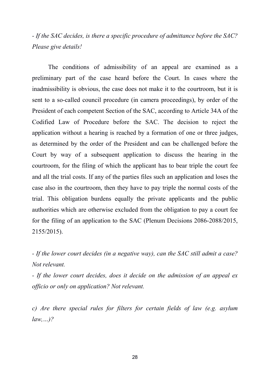*- If the SAC decides, is there a specific procedure of admittance before the SAC? Please give details!*

The conditions of admissibility of an appeal are examined as a preliminary part of the case heard before the Court. In cases where the inadmissibility is obvious, the case does not make it to the courtroom, but it is sent to a so-called council procedure (in camera proceedings), by order of the President of each competent Section of the SAC, according to Article 34A of the Codified Law of Procedure before the SAC. The decision to reject the application without a hearing is reached by a formation of one or three judges, as determined by the order of the President and can be challenged before the Court by way of a subsequent application to discuss the hearing in the courtroom, for the filing of which the applicant has to bear triple the court fee and all the trial costs. If any of the parties files such an application and loses the case also in the courtroom, then they have to pay triple the normal costs of the trial. This obligation burdens equally the private applicants and the public authorities which are otherwise excluded from the obligation to pay a court fee for the filing of an application to the SAC (Plenum Decisions 2086-2088/2015, 2155/2015).

*- If the lower court decides (in a negative way), can the SAC still admit a case? Not relevant.*

*- If the lower court decides, does it decide on the admission of an appeal ex officio or only on application? Not relevant.*

*c) Are there special rules for filters for certain fields of law (e.g. asylum law,…)?*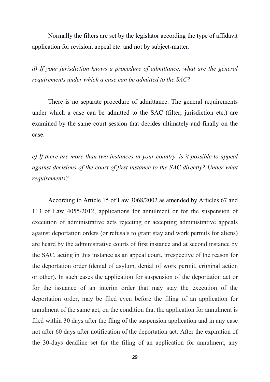Normally the filters are set by the legislator according the type of affidavit application for revision, appeal etc. and not by subject-matter.

*d) If your jurisdiction knows a procedure of admittance, what are the general requirements under which a case can be admitted to the SAC?*

There is no separate procedure of admittance. The general requirements under which a case can be admitted to the SAC (filter, jurisdiction etc.) are examined by the same court session that decides ultimately and finally on the case.

*e) If there are more than two instances in your country, is it possible to appeal against decisions of the court of first instance to the SAC directly? Under what requirements?*

According to Article 15 of Law 3068/2002 as amended by Articles 67 and 113 of Law 4055/2012, applications for annulment or for the suspension of execution of administrative acts rejecting or accepting administrative appeals against deportation orders (or refusals to grant stay and work permits for aliens) are heard by the administrative courts of first instance and at second instance by the SAC, acting in this instance as an appeal court, irrespective of the reason for the deportation order (denial of asylum, denial of work permit, criminal action or other). In such cases the application for suspension of the deportation act or for the issuance of an interim order that may stay the execution of the deportation order, may be filed even before the filing of an application for annulment of the same act, on the condition that the application for annulment is filed within 30 days after the fling of the suspension application and in any case not after 60 days after notification of the deportation act. After the expiration of the 30-days deadline set for the filing of an application for annulment, any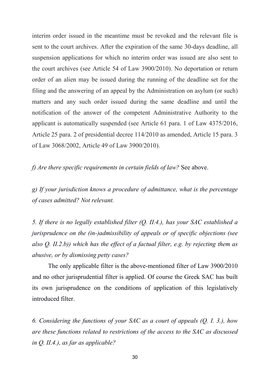interim order issued in the meantime must be revoked and the relevant file is sent to the court archives. After the expiration of the same 30-days deadline, all suspension applications for which no interim order was issued are also sent to the court archives (see Article 54 of Law 3900/2010). No deportation or return order of an alien may be issued during the running of the deadline set for the filing and the answering of an appeal by the Administration on asylum (or such) matters and any such order issued during the same deadline and until the notification of the answer of the competent Administrative Authority to the applicant is automatically suspended (see Article 61 para. 1 of Law 4375/2016, Article 25 para. 2 of presidential decree 114/2010 as amended, Article 15 para. 3 of Law 3068/2002, Article 49 of Law 3900/2010).

*f) Are there specific requirements in certain fields of law?* See above.

*g) If your jurisdiction knows a procedure of admittance, what is the percentage of cases admitted? Not relevant.*

*5. If there is no legally established filter (Q. II.4.), has your SAC established a jurisprudence on the (in-)admissibility of appeals or of specific objections (see also Q. II.2.b)) which has the effect of a factual filter, e.g. by rejecting them as abusive, or by dismissing petty cases?*

The only applicable filter is the above-mentioned filter of Law 3900/2010 and no other jurisprudential filter is applied. Of course the Greek SAC has built its own jurisprudence on the conditions of application of this legislatively introduced filter.

*6. Considering the functions of your SAC as a court of appeals (Q. I. 3.), how are these functions related to restrictions of the access to the SAC as discussed in Q. II.4.), as far as applicable?*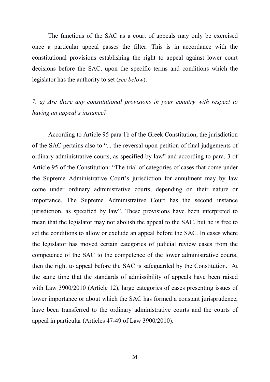The functions of the SAC as a court of appeals may only be exercised once a particular appeal passes the filter. This is in accordance with the constitutional provisions establishing the right to appeal against lower court decisions before the SAC, upon the specific terms and conditions which the legislator has the authority to set (*see below*).

## *7. a) Are there any constitutional provisions in your country with respect to having an appeal's instance?*

According to Article 95 para 1b of the Greek Constitution, the jurisdiction of the SAC pertains also to "... the reversal upon petition of final judgements of ordinary administrative courts, as specified by law" and according to para. 3 of Article 95 of the Constitution: "The trial of categories of cases that come under the Supreme Administrative Court's jurisdiction for annulment may by law come under ordinary administrative courts, depending on their nature or importance. The Supreme Administrative Court has the second instance jurisdiction, as specified by law". These provisions have been interpreted to mean that the legislator may not abolish the appeal to the SAC, but he is free to set the conditions to allow or exclude an appeal before the SAC. In cases where the legislator has moved certain categories of judicial review cases from the competence of the SAC to the competence of the lower administrative courts, then the right to appeal before the SAC is safeguarded by the Constitution. At the same time that the standards of admissibility of appeals have been raised with Law 3900/2010 (Article 12), large categories of cases presenting issues of lower importance or about which the SAC has formed a constant jurisprudence, have been transferred to the ordinary administrative courts and the courts of appeal in particular (Articles 47-49 of Law 3900/2010).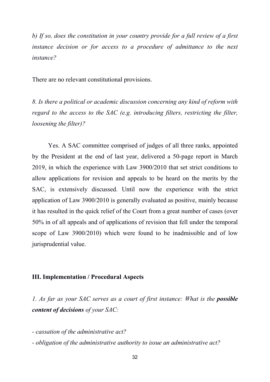*b) If so, does the constitution in your country provide for a full review of a first instance decision or for access to a procedure of admittance to the next instance?*

There are no relevant constitutional provisions.

*8. Is there a political or academic discussion concerning any kind of reform with regard to the access to the SAC (e.g. introducing filters, restricting the filter, loosening the filter)?*

Yes. A SAC committee comprised of judges of all three ranks, appointed by the President at the end of last year, delivered a 50-page report in March 2019, in which the experience with Law 3900/2010 that set strict conditions to allow applications for revision and appeals to be heard on the merits by the SAC, is extensively discussed. Until now the experience with the strict application of Law 3900/2010 is generally evaluated as positive, mainly because it has resulted in the quick relief of the Court from a great number of cases (over 50% in of all appeals and of applications of revision that fell under the temporal scope of Law 3900/2010) which were found to be inadmissible and of low jurisprudential value.

### **III. Implementation / Procedural Aspects**

*1. As far as your SAC serves as a court of first instance: What is the possible content of decisions of your SAC:*

*- cassation of the administrative act?*

*- obligation of the administrative authority to issue an administrative act?*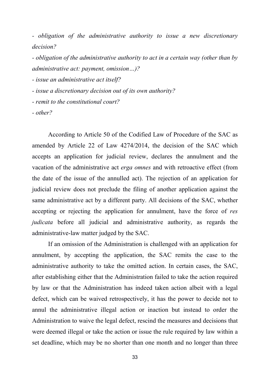*- obligation of the administrative authority to issue a new discretionary decision?*

*- obligation of the administrative authority to act in a certain way (other than by administrative act: payment, omission…)?*

*- issue an administrative act itself?*

*- issue a discretionary decision out of its own authority?*

*- remit to the constitutional court?*

*- other?*

According to Article 50 of the Codified Law of Procedure of the SAC as amended by Article 22 of Law 4274/2014, the decision of the SAC which accepts an application for judicial review, declares the annulment and the vacation of the administrative act *erga omnes* and with retroactive effect (from the date of the issue of the annulled act). The rejection of an application for judicial review does not preclude the filing of another application against the same administrative act by a different party. All decisions of the SAC, whether accepting or rejecting the application for annulment, have the force of *res judicata* before all *judicial* and *administrative authority*, as regards the administrative-law matter judged by the SAC.

If an omission of the Administration is challenged with an application for annulment, by accepting the application, the SAC remits the case to the administrative authority to take the omitted action. In certain cases, the SAC, after establishing either that the Administration failed to take the action required by law or that the Administration has indeed taken action albeit with a legal defect, which can be waived retrospectively, it has the power to decide not to annul the administrative illegal action or inaction but instead to order the Administration to waive the legal defect, rescind the measures and decisions that were deemed illegal or take the action or issue the rule required by law within a set deadline, which may be no shorter than one month and no longer than three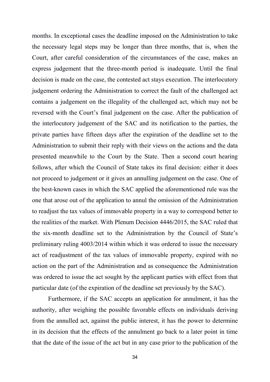months. In exceptional cases the deadline imposed on the Administration to take the necessary legal steps may be longer than three months, that is, when the Court, after careful consideration of the circumstances of the case, makes an express judgement that the three-month period is inadequate. Until the final decision is made on the case, the contested act stays execution. The interlocutory judgement ordering the Administration to correct the fault of the challenged act contains a judgement on the illegality of the challenged act, which may not be reversed with the Court's final judgement on the case. After the publication of the interlocutory judgement of the SAC and its notification to the parties, the private parties have fifteen days after the expiration of the deadline set to the Administration to submit their reply with their views on the actions and the data presented meanwhile to the Court by the State. Then a second court hearing follows, after which the Council of State takes its final decision: either it does not proceed to judgement or it gives an annulling judgement on the case. One of the best-known cases in which the SAC applied the aforementioned rule was the one that arose out of the application to annul the omission of the Administration to readjust the tax values of immovable property in a way to correspond better to the realities of the market. With Plenum Decision 4446/2015, the SAC ruled that the six-month deadline set to the Administration by the Council of State's preliminary ruling 4003/2014 within which it was ordered to issue the necessary act of readjustment of the tax values of immovable property, expired with no action on the part of the Administration and as consequence the Administration was ordered to issue the act sought by the applicant parties with effect from that particular date (of the expiration of the deadline set previously by the SAC).

Furthermore, if the SAC accepts an application for annulment, it has the authority, after weighing the possible favorable effects on individuals deriving from the annulled act, against the public interest, it has the power to determine in its decision that the effects of the annulment go back to a later point in time that the date of the issue of the act but in any case prior to the publication of the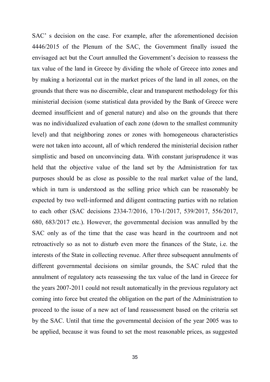SAC' s decision on the case. For example, after the aforementioned decision 4446/2015 of the Plenum of the SAC, the Government finally issued the envisaged act but the Court annulled the Government's decision to reassess the tax value of the land in Greece by dividing the whole of Greece into zones and by making a horizontal cut in the market prices of the land in all zones, on the grounds that there was no discernible, clear and transparent methodology for this ministerial decision (some statistical data provided by the Bank of Greece were deemed insufficient and of general nature) and also on the grounds that there was no individualized evaluation of each zone (down to the smallest community level) and that neighboring zones or zones with homogeneous characteristics were not taken into account, all of which rendered the ministerial decision rather simplistic and based on unconvincing data. With constant jurisprudence it was held that the objective value of the land set by the Administration for tax purposes should be as close as possible to the real market value of the land, which in turn is understood as the selling price which can be reasonably be expected by two well-informed and diligent contracting parties with no relation to each other (SAC decisions 2334-7/2016, 170-1/2017, 539/2017, 556/2017, 680, 683/2017 etc.). However, the governmental decision was annulled by the SAC only as of the time that the case was heard in the courtroom and not retroactively so as not to disturb even more the finances of the State, i.e. the interests of the State in collecting revenue. After three subsequent annulments of different governmental decisions on similar grounds, the SAC ruled that the annulment of regulatory acts reassessing the tax value of the land in Greece for the years 2007-2011 could not result automatically in the previous regulatory act coming into force but created the obligation on the part of the Administration to proceed to the issue of a new act of land reassessment based on the criteria set by the SAC. Until that time the governmental decision of the year 2005 was to be applied, because it was found to set the most reasonable prices, as suggested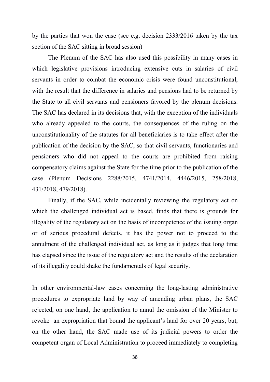by the parties that won the case (see e.g. decision 2333/2016 taken by the tax section of the SAC sitting in broad session)

The Plenum of the SAC has also used this possibility in many cases in which legislative provisions introducing extensive cuts in salaries of civil servants in order to combat the economic crisis were found unconstitutional, with the result that the difference in salaries and pensions had to be returned by the State to all civil servants and pensioners favored by the plenum decisions. The SAC has declared in its decisions that, with the exception of the individuals who already appealed to the courts, the consequences of the ruling on the unconstitutionality of the statutes for all beneficiaries is to take effect after the publication of the decision by the SAC, so that civil servants, functionaries and pensioners who did not appeal to the courts are prohibited from raising compensatory claims against the State for the time prior to the publication of the case (Plenum Decisions 2288/2015, 4741/2014, 4446/2015, 258/2018, 431/2018, 479/2018).

Finally, if the SAC, while incidentally reviewing the regulatory act on which the challenged individual act is based, finds that there is grounds for illegality of the regulatory act on the basis of incompetence of the issuing organ or of serious procedural defects, it has the power not to proceed to the annulment of the challenged individual act, as long as it judges that long time has elapsed since the issue of the regulatory act and the results of the declaration of its illegality could shake the fundamentals of legal security.

In other environmental-law cases concerning the long-lasting administrative procedures to expropriate land by way of amending urban plans, the SAC rejected, on one hand, the application to annul the omission of the Minister to revoke an expropriation that bound the applicant's land for over 20 years, but, on the other hand, the SAC made use of its judicial powers to order the competent organ of Local Administration to proceed immediately to completing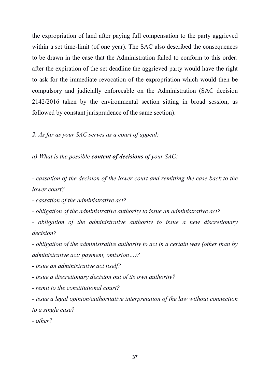the expropriation of land after paying full compensation to the party aggrieved within a set time-limit (of one year). The SAC also described the consequences to be drawn in the case that the Administration failed to conform to this order: after the expiration of the set deadline the aggrieved party would have the right to ask for the immediate revocation of the expropriation which would then be compulsory and judicially enforceable on the Administration (SAC decision 2142/2016 taken by the environmental section sitting in broad session, as followed by constant jurisprudence of the same section).

*2. As far as your SAC serves as a court of appeal:*

*a) What is the possible content of decisions of your SAC:*

*- cassation of the decision of the lower court and remitting the case back to the lower court?*

*- cassation of the administrative act?*

*- obligation of the administrative authority to issue an administrative act?*

*- obligation of the administrative authority to issue a new discretionary decision?*

*- obligation of the administrative authority to act in a certain way (other than by administrative act: payment, omission…)?*

*- issue an administrative act itself?*

*- issue a discretionary decision out of its own authority?*

*- remit to the constitutional court?*

*- issue a legal opinion/authoritative interpretation of the law without connection to a single case?*

*- other?*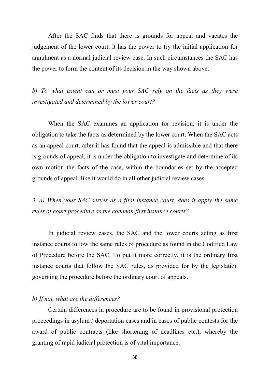After the SAC finds that there is grounds for appeal and vacates the judgement of the lower court, it has the power to try the initial application for annulment as a normal judicial review case. In such circumstances the SAC has the power to form the content of its decision in the way shown above.

*b) To what extent can or must your SAC rely on the facts as they were investigated and determined by the lower court?*

When the SAC examines an application for revision, it is under the obligation to take the facts as determined by the lower court. When the SAC acts as an appeal court, after it has found that the appeal is admissible and that there is grounds of appeal, it is under the obligation to investigate and determine of its own motion the facts of the case, within the boundaries set by the accepted grounds of appeal, like it would do in all other judicial review cases.

*3. a) When your SAC serves as a first instance court, does it apply the same rules of court procedure as the common first instance courts?*

In judicial review cases, the SAC and the lower courts acting as first instance courts follow the same rules of procedure as found in the Codified Law of Procedure before the SAC. To put it more correctly, it is the ordinary first instance courts that follow the SAC rules, as provided for by the legislation governing the procedure before the ordinary court of appeals.

### *b) If not, what are the differences?*

Certain differences in procedure are to be found in provisional protection proceedings in asylum / deportation cases and in cases of public contests for the award of public contracts (like shortening of deadlines etc.), whereby the granting of rapid judicial protection is of vital importance.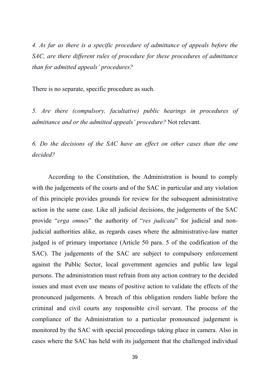*4. As far as there is a specific procedure of admittance of appeals before the SAC, are there different rules of procedure for these procedures of admittance than for admitted appeals' procedures?*

There is no separate, specific procedure as such.

*5. Are there (compulsory, facultative) public hearings in procedures of admittance and or the admitted appeals' procedure?* Not relevant.

*6. Do the decisions of the SAC have an effect on other cases than the one decided?*

According to the Constitution, the Administration is bound to comply with the judgements of the courts and of the SAC in particular and any violation of this principle provides grounds for review for the subsequent administrative action in the same case. Like all judicial decisions, the judgements of the SAC provide "*erga omnes*" the authority of "*res judicata*" for judicial and nonjudicial authorities alike, as regards cases where the administrative-law matter judged is of primary importance (Article 50 para. 5 of the codification of the SAC). The judgements of the SAC are subject to compulsory enforcement against the Public Sector, local government agencies and public law legal persons. The administration must refrain from any action contrary to the decided issues and must even use means of positive action to validate the effects of the pronounced judgements. A breach of this obligation renders liable before the criminal and civil courts any responsible civil servant. The process of the compliance of the Administration to a particular pronounced judgement is monitored by the SAC with special proceedings taking place in camera. Also in cases where the SAC has held with its judgement that the challenged individual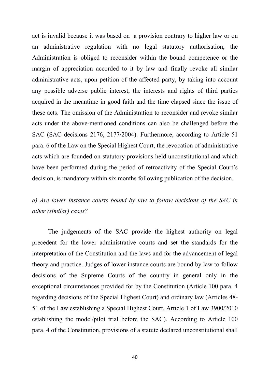act is invalid because it was based on a provision contrary to higher law or on an administrative regulation with no legal statutory authorisation, the Administration is obliged to reconsider within the bound competence or the margin of appreciation accorded to it by law and finally revoke all similar administrative acts, upon petition of the affected party, by taking into account any possible adverse public interest, the interests and rights of third parties acquired in the meantime in good faith and the time elapsed since the issue of these acts. The omission of the Administration to reconsider and revoke similar acts under the above-mentioned conditions can also be challenged before the SAC (SAC decisions 2176, 2177/2004). Furthermore, according to Article 51 para. 6 of the Law on the Special Highest Court, the revocation of administrative acts which are founded on statutory provisions held unconstitutional and which have been performed during the period of retroactivity of the Special Court's decision, is mandatory within six months following publication of the decision.

# *a) Are lower instance courts bound by law to follow decisions of the SAC in other (similar) cases?*

The judgements of the SAC provide the highest authority on legal precedent for the lower administrative courts and set the standards for the interpretation of the Constitution and the laws and for the advancement of legal theory and practice. Judges of lower instance courts are bound by law to follow decisions of the Supreme Courts of the country in general only in the exceptional circumstances provided for by the Constitution (Article 100 para. 4 regarding decisions of the Special Highest Court) and ordinary law (Articles 48- 51 of the Law establishing a Special Highest Court, Article 1 of Law 3900/2010 establishing the model/pilot trial before the SAC). According to Article 100 para. 4 of the Constitution, provisions of a statute declared unconstitutional shall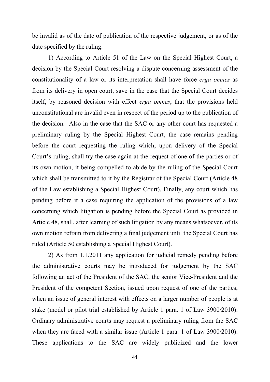be invalid as of the date of publication of the respective judgement, or as of the date specified by the ruling.

1) According to Article 51 of the Law on the Special Highest Court, a decision by the Special Court resolving a dispute concerning assessment of the constitutionality of a law or its interpretation shall have force *erga omnes* as from its delivery in open court, save in the case that the Special Court decides itself, by reasoned decision with effect *erga omnes*, that the provisions held unconstitutional are invalid even in respect of the period up to the publication of the decision. Also in the case that the SAC or any other court has requested a preliminary ruling by the Special Highest Court, the case remains pending before the court requesting the ruling which, upon delivery of the Special Court's ruling, shall try the case again at the request of one of the parties or of its own motion, it being compelled to abide by the ruling of the Special Court which shall be transmitted to it by the Registrar of the Special Court (Article 48 of the Law establishing a Special Highest Court). Finally, any court which has pending before it a case requiring the application of the provisions of a law concerning which litigation is pending before the Special Court as provided in Article 48, shall, after learning of such litigation by any means whatsoever, of its own motion refrain from delivering a final judgement until the Special Court has ruled (Article 50 establishing a Special Highest Court).

2) As from 1.1.2011 any application for judicial remedy pending before the administrative courts may be introduced for judgement by the SAC following an act of the President of the SAC, the senior Vice-President and the President of the competent Section, issued upon request of one of the parties, when an issue of general interest with effects on a larger number of people is at stake (model or pilot trial established by Article 1 para. 1 of Law 3900/2010). Ordinary administrative courts may request a preliminary ruling from the SAC when they are faced with a similar issue (Article 1 para. 1 of Law 3900/2010). These applications to the SAC are widely publicized and the lower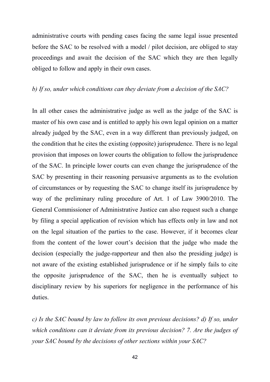administrative courts with pending cases facing the same legal issue presented before the SAC to be resolved with a model / pilot decision, are obliged to stay proceedings and await the decision of the SAC which they are then legally obliged to follow and apply in their own cases.

### *b) If so, under which conditions can they deviate from a decision of the SAC?*

In all other cases the administrative judge as well as the judge of the SAC is master of his own case and is entitled to apply his own legal opinion on a matter already judged by the SAC, even in a way different than previously judged, on the condition that he cites the existing (opposite) jurisprudence. There is no legal provision that imposes on lower courts the obligation to follow the jurisprudence of the SAC. In principle lower courts can even change the jurisprudence of the SAC by presenting in their reasoning persuasive arguments as to the evolution of circumstances or by requesting the SAC to change itself its jurisprudence by way of the preliminary ruling procedure of Art. 1 of Law 3900/2010. The General Commissioner of Administrative Justice can also request such a change by filing a special application of revision which has effects only in law and not on the legal situation of the parties to the case. However, if it becomes clear from the content of the lower court's decision that the judge who made the decision (especially the judge-rapporteur and then also the presiding judge) is not aware of the existing established jurisprudence or if he simply fails to cite the opposite jurisprudence of the SAC, then he is eventually subject to disciplinary review by his superiors for negligence in the performance of his duties.

*c) Is the SAC bound by law to follow its own previous decisions? d) If so, under which conditions can it deviate from its previous decision? 7. Are the judges of your SAC bound by the decisions of other sections within your SAC?*